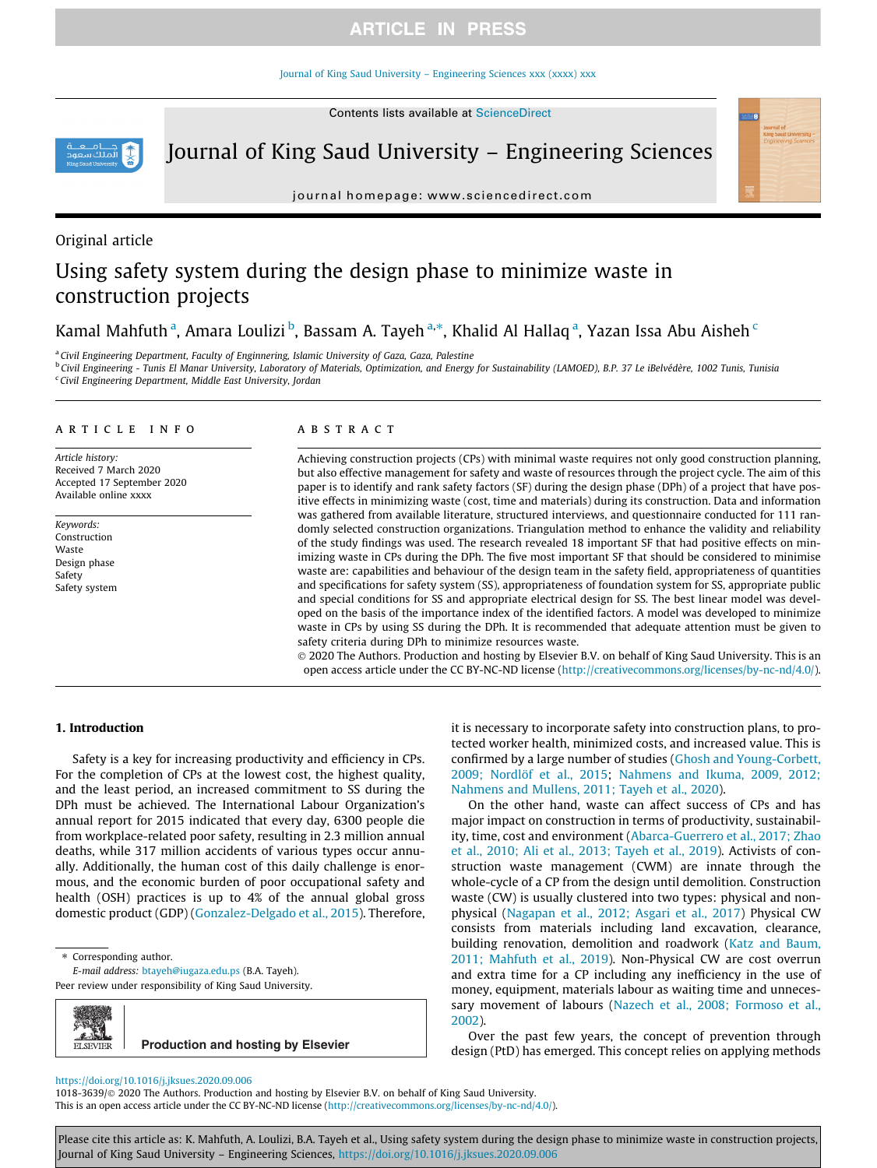## [Journal of King Saud University – Engineering Sciences xxx \(xxxx\) xxx](https://doi.org/10.1016/j.jksues.2020.09.006)

Contents lists available at [ScienceDirect](http://www.sciencedirect.com/science/journal/10183639)



Journal of King Saud University – Engineering Sciences

journal homepage: [www.sciencedirect.com](http://www.sciencedirect.com)

## Original article

# Using safety system during the design phase to minimize waste in construction projects

Kamal Mahfuth<sup>a</sup>, Amara Loulizi <sup>b</sup>, Bassam A. Tayeh <sup>a,\*</sup>, Khalid Al Hallaq <sup>a</sup>, Yazan Issa Abu Aisheh <sup>c</sup>

<sup>a</sup> Civil Engineering Department, Faculty of Enginnering, Islamic University of Gaza, Gaza, Palestine

<sup>b</sup> Civil Engineering - Tunis El Manar University, Laboratory of Materials, Optimization, and Energy for Sustainability (LAMOED), B.P. 37 Le iBelvédère, 1002 Tunis, Tunisia

<sup>c</sup> Civil Engineering Department, Middle East University, Jordan

## article info

Article history: Received 7 March 2020 Accepted 17 September 2020 Available online xxxx

Keywords: Construction Waste Design phase Safety Safety system

## **ABSTRACT**

Achieving construction projects (CPs) with minimal waste requires not only good construction planning, but also effective management for safety and waste of resources through the project cycle. The aim of this paper is to identify and rank safety factors (SF) during the design phase (DPh) of a project that have positive effects in minimizing waste (cost, time and materials) during its construction. Data and information was gathered from available literature, structured interviews, and questionnaire conducted for 111 randomly selected construction organizations. Triangulation method to enhance the validity and reliability of the study findings was used. The research revealed 18 important SF that had positive effects on minimizing waste in CPs during the DPh. The five most important SF that should be considered to minimise waste are: capabilities and behaviour of the design team in the safety field, appropriateness of quantities and specifications for safety system (SS), appropriateness of foundation system for SS, appropriate public and special conditions for SS and appropriate electrical design for SS. The best linear model was developed on the basis of the importance index of the identified factors. A model was developed to minimize waste in CPs by using SS during the DPh. It is recommended that adequate attention must be given to safety criteria during DPh to minimize resources waste.

 2020 The Authors. Production and hosting by Elsevier B.V. on behalf of King Saud University. This is an open access article under the CC BY-NC-ND license (<http://creativecommons.org/licenses/by-nc-nd/4.0/>).

## 1. Introduction

Safety is a key for increasing productivity and efficiency in CPs. For the completion of CPs at the lowest cost, the highest quality, and the least period, an increased commitment to SS during the DPh must be achieved. The International Labour Organization's annual report for 2015 indicated that every day, 6300 people die from workplace-related poor safety, resulting in 2.3 million annual deaths, while 317 million accidents of various types occur annually. Additionally, the human cost of this daily challenge is enormous, and the economic burden of poor occupational safety and health (OSH) practices is up to 4% of the annual global gross domestic product (GDP) ([Gonzalez-Delgado et al., 2015\)](#page-8-0). Therefore,

⇑ Corresponding author.

E-mail address: [btayeh@iugaza.edu.ps](mailto:btayeh@iugaza.edu.ps) (B.A. Tayeh).

Peer review under responsibility of King Saud University.



it is necessary to incorporate safety into construction plans, to protected worker health, minimized costs, and increased value. This is confirmed by a large number of studies ([Ghosh and Young-Corbett,](#page-8-0) [2009; Nordlöf et al., 2015;](#page-8-0) [Nahmens and Ikuma, 2009, 2012;](#page-9-0) [Nahmens and Mullens, 2011; Tayeh et al., 2020](#page-9-0)).

On the other hand, waste can affect success of CPs and has major impact on construction in terms of productivity, sustainability, time, cost and environment ([Abarca-Guerrero et al., 2017; Zhao](#page-8-0) [et al., 2010; Ali et al., 2013; Tayeh et al., 2019](#page-8-0)). Activists of construction waste management (CWM) are innate through the whole-cycle of a CP from the design until demolition. Construction waste (CW) is usually clustered into two types: physical and nonphysical [\(Nagapan et al., 2012; Asgari et al., 2017](#page-9-0)) Physical CW consists from materials including land excavation, clearance, building renovation, demolition and roadwork [\(Katz and Baum,](#page-9-0) [2011; Mahfuth et al., 2019](#page-9-0)). Non-Physical CW are cost overrun and extra time for a CP including any inefficiency in the use of money, equipment, materials labour as waiting time and unneces-sary movement of labours ([Nazech et al., 2008; Formoso et al.,](#page-9-0) [2002](#page-9-0)).

Over the past few years, the concept of prevention through design (PtD) has emerged. This concept relies on applying methods

## <https://doi.org/10.1016/j.jksues.2020.09.006>

1018-3639/© 2020 The Authors. Production and hosting by Elsevier B.V. on behalf of King Saud University. This is an open access article under the CC BY-NC-ND license ([http://creativecommons.org/licenses/by-nc-nd/4.0/\)](http://creativecommons.org/licenses/by-nc-nd/4.0/).

Please cite this article as: K. Mahfuth, A. Loulizi, B.A. Tayeh et al., Using safety system during the design phase to minimize waste in construction projects, Journal of King Saud University – Engineering Sciences, <https://doi.org/10.1016/j.jksues.2020.09.006>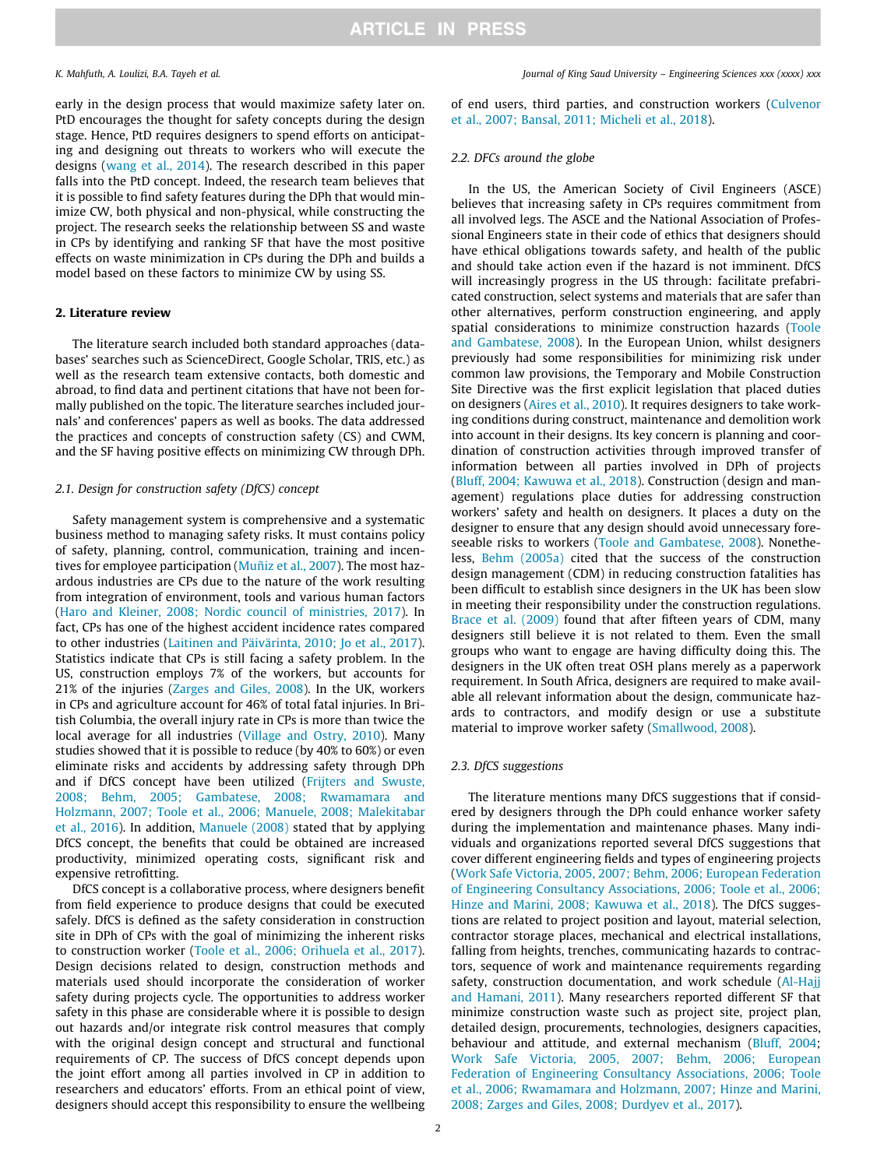K. Mahfuth, A. Loulizi, B.A. Tayeh et al. Journal of King Saud University – Engineering Sciences xxx (xxxx) xxx

early in the design process that would maximize safety later on. PtD encourages the thought for safety concepts during the design stage. Hence, PtD requires designers to spend efforts on anticipating and designing out threats to workers who will execute the designs [\(wang et al., 2014](#page-9-0)). The research described in this paper falls into the PtD concept. Indeed, the research team believes that it is possible to find safety features during the DPh that would minimize CW, both physical and non-physical, while constructing the project. The research seeks the relationship between SS and waste in CPs by identifying and ranking SF that have the most positive effects on waste minimization in CPs during the DPh and builds a model based on these factors to minimize CW by using SS.

## 2. Literature review

The literature search included both standard approaches (databases' searches such as ScienceDirect, Google Scholar, TRIS, etc.) as well as the research team extensive contacts, both domestic and abroad, to find data and pertinent citations that have not been formally published on the topic. The literature searches included journals' and conferences' papers as well as books. The data addressed the practices and concepts of construction safety (CS) and CWM, and the SF having positive effects on minimizing CW through DPh.

## 2.1. Design for construction safety (DfCS) concept

Safety management system is comprehensive and a systematic business method to managing safety risks. It must contains policy of safety, planning, control, communication, training and incentives for employee participation [\(Muñiz et al., 2007\)](#page-9-0). The most hazardous industries are CPs due to the nature of the work resulting from integration of environment, tools and various human factors ([Haro and Kleiner, 2008; Nordic council of ministries, 2017](#page-8-0)). In fact, CPs has one of the highest accident incidence rates compared to other industries [\(Laitinen and Päivärinta, 2010; Jo et al., 2017\)](#page-9-0). Statistics indicate that CPs is still facing a safety problem. In the US, construction employs 7% of the workers, but accounts for 21% of the injuries ([Zarges and Giles, 2008](#page-9-0)). In the UK, workers in CPs and agriculture account for 46% of total fatal injuries. In British Columbia, the overall injury rate in CPs is more than twice the local average for all industries [\(Village and Ostry, 2010](#page-9-0)). Many studies showed that it is possible to reduce (by 40% to 60%) or even eliminate risks and accidents by addressing safety through DPh and if DfCS concept have been utilized [\(Frijters and Swuste,](#page-8-0) [2008; Behm, 2005; Gambatese, 2008; Rwamamara and](#page-8-0) [Holzmann, 2007; Toole et al., 2006; Manuele, 2008; Malekitabar](#page-8-0) [et al., 2016\)](#page-8-0). In addition, [Manuele \(2008\)](#page-9-0) stated that by applying DfCS concept, the benefits that could be obtained are increased productivity, minimized operating costs, significant risk and expensive retrofitting.

DfCS concept is a collaborative process, where designers benefit from field experience to produce designs that could be executed safely. DfCS is defined as the safety consideration in construction site in DPh of CPs with the goal of minimizing the inherent risks to construction worker [\(Toole et al., 2006; Orihuela et al., 2017\)](#page-9-0). Design decisions related to design, construction methods and materials used should incorporate the consideration of worker safety during projects cycle. The opportunities to address worker safety in this phase are considerable where it is possible to design out hazards and/or integrate risk control measures that comply with the original design concept and structural and functional requirements of CP. The success of DfCS concept depends upon the joint effort among all parties involved in CP in addition to researchers and educators' efforts. From an ethical point of view, designers should accept this responsibility to ensure the wellbeing of end users, third parties, and construction workers ([Culvenor](#page-8-0) [et al., 2007; Bansal, 2011; Micheli et al., 2018\)](#page-8-0).

## 2.2. DFCs around the globe

In the US, the American Society of Civil Engineers (ASCE) believes that increasing safety in CPs requires commitment from all involved legs. The ASCE and the National Association of Professional Engineers state in their code of ethics that designers should have ethical obligations towards safety, and health of the public and should take action even if the hazard is not imminent. DfCS will increasingly progress in the US through: facilitate prefabricated construction, select systems and materials that are safer than other alternatives, perform construction engineering, and apply spatial considerations to minimize construction hazards [\(Toole](#page-9-0) [and Gambatese, 2008\)](#page-9-0). In the European Union, whilst designers previously had some responsibilities for minimizing risk under common law provisions, the Temporary and Mobile Construction Site Directive was the first explicit legislation that placed duties on designers [\(Aires et al., 2010](#page-8-0)). It requires designers to take working conditions during construct, maintenance and demolition work into account in their designs. Its key concern is planning and coordination of construction activities through improved transfer of information between all parties involved in DPh of projects ([Bluff, 2004; Kawuwa et al., 2018\)](#page-8-0). Construction (design and management) regulations place duties for addressing construction workers' safety and health on designers. It places a duty on the designer to ensure that any design should avoid unnecessary foreseeable risks to workers ([Toole and Gambatese, 2008\)](#page-9-0). Nonetheless, [Behm \(2005a\)](#page-8-0) cited that the success of the construction design management (CDM) in reducing construction fatalities has been difficult to establish since designers in the UK has been slow in meeting their responsibility under the construction regulations. [Brace et al. \(2009\)](#page-8-0) found that after fifteen years of CDM, many designers still believe it is not related to them. Even the small groups who want to engage are having difficulty doing this. The designers in the UK often treat OSH plans merely as a paperwork requirement. In South Africa, designers are required to make available all relevant information about the design, communicate hazards to contractors, and modify design or use a substitute material to improve worker safety [\(Smallwood, 2008\)](#page-9-0).

## 2.3. DfCS suggestions

The literature mentions many DfCS suggestions that if considered by designers through the DPh could enhance worker safety during the implementation and maintenance phases. Many individuals and organizations reported several DfCS suggestions that cover different engineering fields and types of engineering projects ([Work Safe Victoria, 2005, 2007; Behm, 2006; European Federation](#page-9-0) [of Engineering Consultancy Associations, 2006; Toole et al., 2006;](#page-9-0) [Hinze and Marini, 2008; Kawuwa et al., 2018\)](#page-9-0). The DfCS suggestions are related to project position and layout, material selection, contractor storage places, mechanical and electrical installations, falling from heights, trenches, communicating hazards to contractors, sequence of work and maintenance requirements regarding safety, construction documentation, and work schedule [\(Al-Hajj](#page-8-0) [and Hamani, 2011](#page-8-0)). Many researchers reported different SF that minimize construction waste such as project site, project plan, detailed design, procurements, technologies, designers capacities, behaviour and attitude, and external mechanism [\(Bluff, 2004;](#page-8-0) [Work Safe Victoria, 2005, 2007; Behm, 2006; European](#page-9-0) [Federation of Engineering Consultancy Associations, 2006; Toole](#page-9-0) [et al., 2006; Rwamamara and Holzmann, 2007; Hinze and Marini,](#page-9-0) [2008; Zarges and Giles, 2008; Durdyev et al., 2017](#page-9-0)).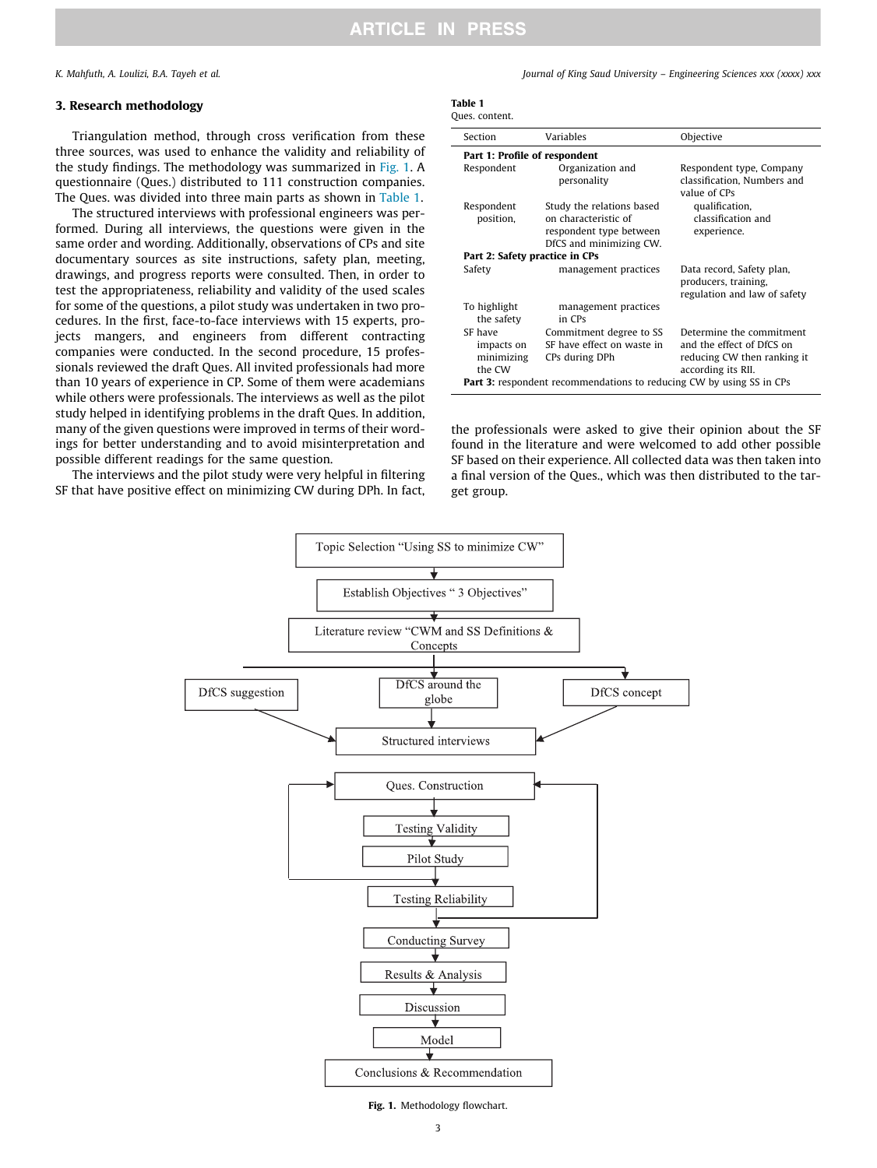## 3. Research methodology

Triangulation method, through cross verification from these three sources, was used to enhance the validity and reliability of the study findings. The methodology was summarized in Fig. 1. A questionnaire (Ques.) distributed to 111 construction companies. The Ques. was divided into three main parts as shown in Table 1.

The structured interviews with professional engineers was performed. During all interviews, the questions were given in the same order and wording. Additionally, observations of CPs and site documentary sources as site instructions, safety plan, meeting, drawings, and progress reports were consulted. Then, in order to test the appropriateness, reliability and validity of the used scales for some of the questions, a pilot study was undertaken in two procedures. In the first, face-to-face interviews with 15 experts, projects mangers, and engineers from different contracting companies were conducted. In the second procedure, 15 professionals reviewed the draft Ques. All invited professionals had more than 10 years of experience in CP. Some of them were academians while others were professionals. The interviews as well as the pilot study helped in identifying problems in the draft Ques. In addition, many of the given questions were improved in terms of their wordings for better understanding and to avoid misinterpretation and possible different readings for the same question.

The interviews and the pilot study were very helpful in filtering SF that have positive effect on minimizing CW during DPh. In fact,

K. Mahfuth, A. Loulizi, B.A. Tayeh et al. Journal of King Saud University – Engineering Sciences xxx (xxxx) xxx

| Table 1 |                |
|---------|----------------|
|         | Ques. content. |

| Section                                       | Variables                                                                                               | Objective                                                                                                  |
|-----------------------------------------------|---------------------------------------------------------------------------------------------------------|------------------------------------------------------------------------------------------------------------|
| Part 1: Profile of respondent                 |                                                                                                         |                                                                                                            |
| Respondent                                    | Organization and<br>personality                                                                         | Respondent type, Company<br>classification. Numbers and<br>value of CPs                                    |
| Respondent<br>position,                       | Study the relations based<br>on characteristic of<br>respondent type between<br>DfCS and minimizing CW. | qualification,<br>classification and<br>experience.                                                        |
| Part 2: Safety practice in CPs                |                                                                                                         |                                                                                                            |
| Safety                                        | management practices                                                                                    | Data record, Safety plan,<br>producers, training,<br>regulation and law of safety                          |
| To highlight<br>the safety                    | management practices<br>in CPs                                                                          |                                                                                                            |
| SF have<br>impacts on<br>minimizing<br>the CW | Commitment degree to SS<br>SF have effect on waste in<br>CPs during DPh                                 | Determine the commitment<br>and the effect of DfCS on<br>reducing CW then ranking it<br>according its RII. |
|                                               | Part 3: respondent recommendations to reducing CW by using SS in CPs                                    |                                                                                                            |

the professionals were asked to give their opinion about the SF found in the literature and were welcomed to add other possible SF based on their experience. All collected data was then taken into a final version of the Ques., which was then distributed to the target group.



Fig. 1. Methodology flowchart.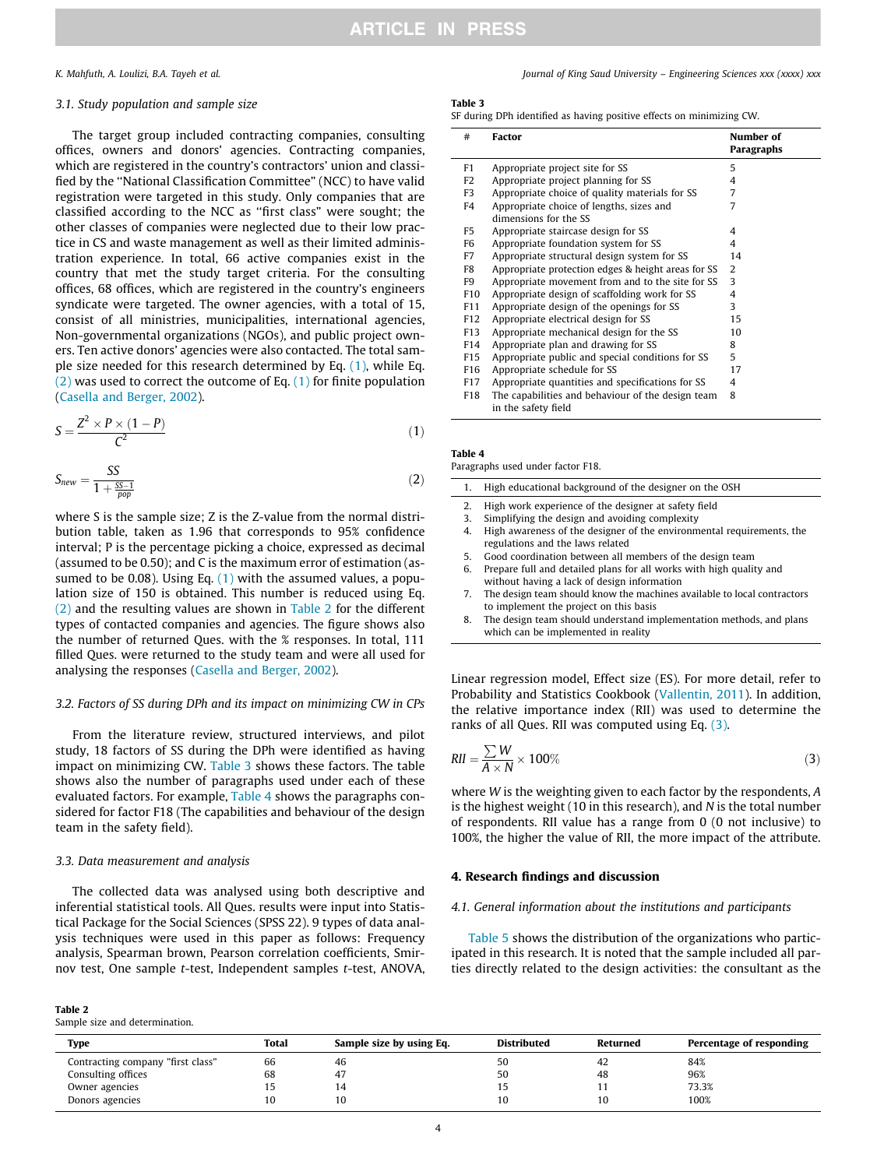## <span id="page-3-0"></span>3.1. Study population and sample size

The target group included contracting companies, consulting offices, owners and donors' agencies. Contracting companies, which are registered in the country's contractors' union and classified by the ''National Classification Committee" (NCC) to have valid registration were targeted in this study. Only companies that are classified according to the NCC as ''first class" were sought; the other classes of companies were neglected due to their low practice in CS and waste management as well as their limited administration experience. In total, 66 active companies exist in the country that met the study target criteria. For the consulting offices, 68 offices, which are registered in the country's engineers syndicate were targeted. The owner agencies, with a total of 15, consist of all ministries, municipalities, international agencies, Non-governmental organizations (NGOs), and public project owners. Ten active donors' agencies were also contacted. The total sample size needed for this research determined by Eq. (1), while Eq.  $(2)$  was used to correct the outcome of Eq.  $(1)$  for finite population ([Casella and Berger, 2002](#page-8-0)).

$$
S = \frac{Z^2 \times P \times (1 - P)}{C^2} \tag{1}
$$

$$
S_{new} = \frac{SS}{1 + \frac{SS - 1}{pop}}
$$
 (2)

where S is the sample size; Z is the Z-value from the normal distribution table, taken as 1.96 that corresponds to 95% confidence interval; P is the percentage picking a choice, expressed as decimal (assumed to be 0.50); and C is the maximum error of estimation (assumed to be 0.08). Using Eq.  $(1)$  with the assumed values, a population size of 150 is obtained. This number is reduced using Eq. (2) and the resulting values are shown in Table 2 for the different types of contacted companies and agencies. The figure shows also the number of returned Ques. with the % responses. In total, 111 filled Ques. were returned to the study team and were all used for analysing the responses ([Casella and Berger, 2002](#page-8-0)).

## 3.2. Factors of SS during DPh and its impact on minimizing CW in CPs

From the literature review, structured interviews, and pilot study, 18 factors of SS during the DPh were identified as having impact on minimizing CW. Table 3 shows these factors. The table shows also the number of paragraphs used under each of these evaluated factors. For example, Table 4 shows the paragraphs considered for factor F18 (The capabilities and behaviour of the design team in the safety field).

## 3.3. Data measurement and analysis

The collected data was analysed using both descriptive and inferential statistical tools. All Ques. results were input into Statistical Package for the Social Sciences (SPSS 22). 9 types of data analysis techniques were used in this paper as follows: Frequency analysis, Spearman brown, Pearson correlation coefficients, Smirnov test, One sample t-test, Independent samples t-test, ANOVA,

| TADIC 4 |  |                                |
|---------|--|--------------------------------|
|         |  | Sample size and determination. |

Table 2

### Table 3

SF during DPh identified as having positive effects on minimizing CW.

| #               | <b>Factor</b>                                                            | Number of<br>Paragraphs |
|-----------------|--------------------------------------------------------------------------|-------------------------|
| F <sub>1</sub>  | Appropriate project site for SS                                          | 5                       |
| F <sub>2</sub>  | Appropriate project planning for SS                                      | 4                       |
| F3              | Appropriate choice of quality materials for SS                           | 7                       |
| F4              | Appropriate choice of lengths, sizes and                                 | 7                       |
|                 | dimensions for the SS                                                    |                         |
| F <sub>5</sub>  | Appropriate staircase design for SS                                      | 4                       |
| F <sub>6</sub>  | Appropriate foundation system for SS                                     | 4                       |
| F7              | Appropriate structural design system for SS                              | 14                      |
| F8              | Appropriate protection edges & height areas for SS                       | $\mathcal{L}$           |
| F9              | Appropriate movement from and to the site for SS                         | 3                       |
| F10             | Appropriate design of scaffolding work for SS                            | 4                       |
| F11             | Appropriate design of the openings for SS                                | 3                       |
| F <sub>12</sub> | Appropriate electrical design for SS                                     | 15                      |
| F13             | Appropriate mechanical design for the SS                                 | 10                      |
| F14             | Appropriate plan and drawing for SS                                      | 8                       |
| F <sub>15</sub> | Appropriate public and special conditions for SS                         | 5                       |
| F <sub>16</sub> | Appropriate schedule for SS                                              | 17                      |
| F <sub>17</sub> | Appropriate quantities and specifications for SS                         | 4                       |
| F18             | The capabilities and behaviour of the design team<br>in the safety field | 8                       |

## Table 4

Paragraphs used under factor F18.

|    | High educational background of the designer on the OSH                  |
|----|-------------------------------------------------------------------------|
| 2. | High work experience of the designer at safety field                    |
| 3. | Simplifying the design and avoiding complexity                          |
| 4. | High awareness of the designer of the environmental requirements, the   |
|    | regulations and the laws related                                        |
| 5. | Good coordination between all members of the design team                |
| 6. | Prepare full and detailed plans for all works with high quality and     |
|    | without having a lack of design information                             |
| 7. | The design team should know the machines available to local contractors |
|    | to implement the project on this basis                                  |
| 8. | The design team should understand implementation methods, and plans     |
|    | which can be implemented in reality                                     |

Linear regression model, Effect size (ES). For more detail, refer to Probability and Statistics Cookbook ([Vallentin, 2011\)](#page-9-0). In addition, the relative importance index (RII) was used to determine the ranks of all Ques. RII was computed using Eq. (3).

$$
RII = \frac{\sum W}{A \times N} \times 100\%
$$
 (3)

where W is the weighting given to each factor by the respondents, A is the highest weight  $(10$  in this research), and N is the total number of respondents. RII value has a range from 0 (0 not inclusive) to 100%, the higher the value of RII, the more impact of the attribute.

## 4. Research findings and discussion

## 4.1. General information about the institutions and participants

[Table 5](#page-4-0) shows the distribution of the organizations who participated in this research. It is noted that the sample included all parties directly related to the design activities: the consultant as the

| Type                              | Total | Sample size by using Eq. | <b>Distributed</b> | Returned | Percentage of responding |
|-----------------------------------|-------|--------------------------|--------------------|----------|--------------------------|
| Contracting company "first class" | 66    | 46                       | 50                 | -42      | 84%                      |
| Consulting offices                | 68    | 47                       | 50                 | 48       | 96%                      |
| Owner agencies                    |       | 14                       |                    |          | 73.3%                    |
| Donors agencies                   | 10    |                          |                    | 10       | 100%                     |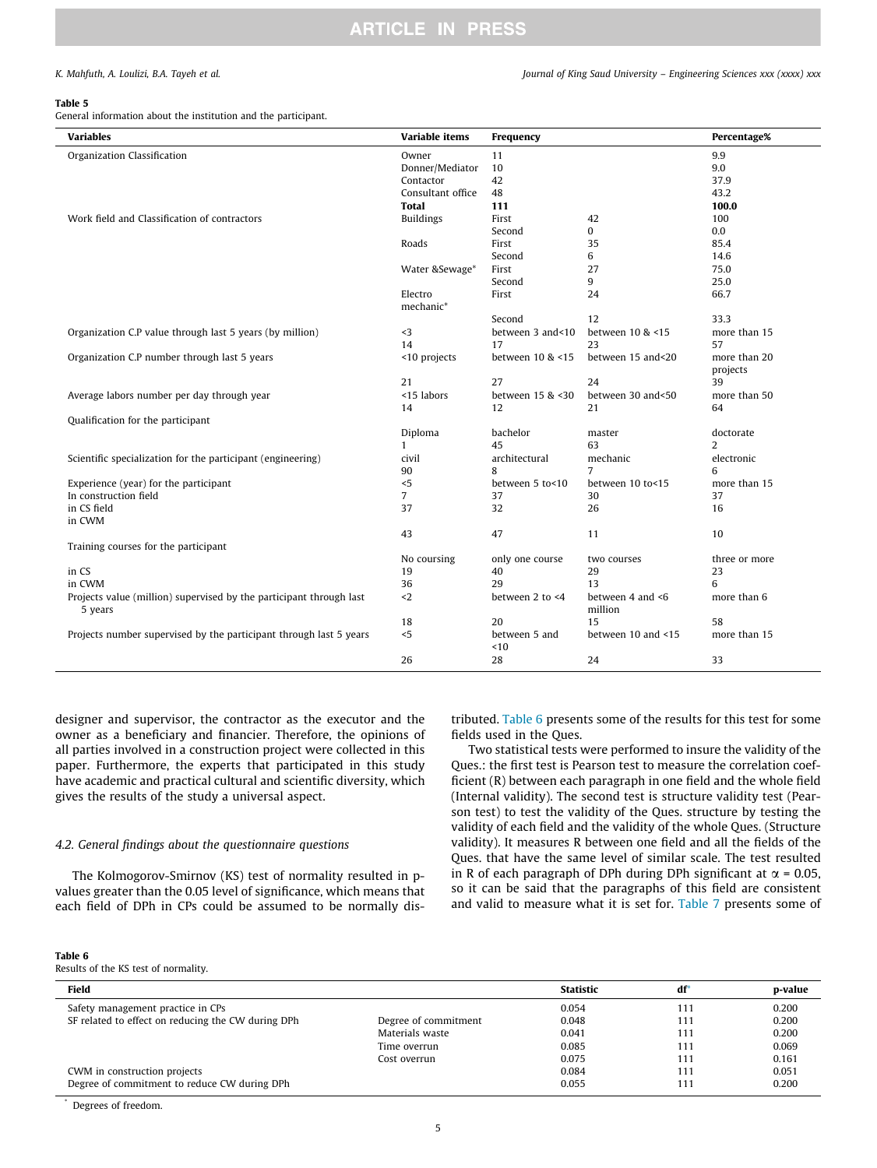<span id="page-4-0"></span>K. Mahfuth, A. Loulizi, B.A. Tayeh et al. Journal of King Saud University – Engineering Sciences xxx (xxxx) xxx

## Table 5

l,

General information about the institution and the participant.

| <b>Variables</b>                                                               | Variable items       | Frequency             |                                     | Percentage%              |
|--------------------------------------------------------------------------------|----------------------|-----------------------|-------------------------------------|--------------------------|
| Organization Classification                                                    | Owner                | 11                    |                                     | 9.9                      |
|                                                                                | Donner/Mediator      | 10                    |                                     | 9.0                      |
|                                                                                | Contactor            | 42                    |                                     | 37.9                     |
|                                                                                | Consultant office    | 48                    |                                     | 43.2                     |
|                                                                                | Total                | 111                   |                                     | 100.0                    |
| Work field and Classification of contractors                                   | <b>Buildings</b>     | First                 | 42                                  | 100                      |
|                                                                                |                      | Second                | 0                                   | $0.0\,$                  |
|                                                                                | Roads                | First                 | 35                                  | 85.4                     |
|                                                                                |                      | Second                | 6                                   | 14.6                     |
|                                                                                | Water &Sewage*       | First                 | 27                                  | 75.0                     |
|                                                                                |                      | Second                | 9                                   | 25.0                     |
|                                                                                | Electro<br>mechanic* | First                 | 24                                  | 66.7                     |
|                                                                                |                      | Second                | 12                                  | 33.3                     |
| Organization C.P value through last 5 years (by million)                       | $3$                  | between 3 and<10      | between 10 & <15                    | more than 15             |
|                                                                                | 14                   | 17                    | 23                                  | 57                       |
| Organization C.P number through last 5 years                                   | <10 projects         | between 10 & <15      | between 15 and<20                   | more than 20<br>projects |
|                                                                                | 21                   | 27                    | 24                                  | 39                       |
| Average labors number per day through year                                     | <15 labors           | between 15 & <30      | between 30 and<50                   | more than 50             |
|                                                                                | 14                   | 12                    | 21                                  | 64                       |
| Qualification for the participant                                              |                      |                       |                                     |                          |
|                                                                                | Diploma              | bachelor              | master                              | doctorate                |
|                                                                                | $\mathbf{1}$         | 45                    | 63                                  | $\overline{2}$           |
| Scientific specialization for the participant (engineering)                    | civil                | architectural         | mechanic                            | electronic               |
|                                                                                | 90                   | 8                     | 7                                   | 6                        |
| Experience (year) for the participant                                          | $<$ 5                | between 5 to<10       | between 10 to<15                    | more than 15             |
| In construction field                                                          | $\overline{7}$       | 37                    | 30                                  | 37                       |
| in CS field                                                                    | 37                   | 32                    | 26                                  | 16                       |
| in CWM                                                                         |                      |                       |                                     |                          |
|                                                                                | 43                   | 47                    | 11                                  | 10                       |
| Training courses for the participant                                           |                      |                       |                                     |                          |
|                                                                                | No coursing          | only one course       | two courses                         | three or more            |
| in CS                                                                          | 19                   | 40                    | 29                                  | 23                       |
| in CWM                                                                         | 36                   | 29                    | 13                                  | 6                        |
| Projects value (million) supervised by the participant through last<br>5 years | $2$                  | between 2 to <4       | between $4$ and $\leq 6$<br>million | more than 6              |
|                                                                                | 18                   | 20                    | 15                                  | 58                       |
| Projects number supervised by the participant through last 5 years             | $5$                  | between 5 and<br>< 10 | between 10 and <15                  | more than 15             |
|                                                                                | 26                   | 28                    | 24                                  | 33                       |

designer and supervisor, the contractor as the executor and the owner as a beneficiary and financier. Therefore, the opinions of all parties involved in a construction project were collected in this paper. Furthermore, the experts that participated in this study have academic and practical cultural and scientific diversity, which gives the results of the study a universal aspect.

## 4.2. General findings about the questionnaire questions

The Kolmogorov-Smirnov (KS) test of normality resulted in pvalues greater than the 0.05 level of significance, which means that each field of DPh in CPs could be assumed to be normally distributed. Table 6 presents some of the results for this test for some fields used in the Ques.

Two statistical tests were performed to insure the validity of the Ques.: the first test is Pearson test to measure the correlation coefficient (R) between each paragraph in one field and the whole field (Internal validity). The second test is structure validity test (Pearson test) to test the validity of the Ques. structure by testing the validity of each field and the validity of the whole Ques. (Structure validity). It measures R between one field and all the fields of the Ques. that have the same level of similar scale. The test resulted in R of each paragraph of DPh during DPh significant at  $\alpha$  = 0.05, so it can be said that the paragraphs of this field are consistent and valid to measure what it is set for. [Table 7](#page-5-0) presents some of

### Table 6

Results of the KS test of normality.

| Field                                              |                      | <b>Statistic</b> | df  | p-value |
|----------------------------------------------------|----------------------|------------------|-----|---------|
| Safety management practice in CPs                  |                      | 0.054            | 111 | 0.200   |
| SF related to effect on reducing the CW during DPh | Degree of commitment | 0.048            | 111 | 0.200   |
|                                                    | Materials waste      | 0.041            | 111 | 0.200   |
|                                                    | Time overrun         | 0.085            | 111 | 0.069   |
|                                                    | Cost overrun         | 0.075            | 111 | 0.161   |
| CWM in construction projects                       |                      | 0.084            | 111 | 0.051   |
| Degree of commitment to reduce CW during DPh       |                      | 0.055            | 111 | 0.200   |

\* Degrees of freedom.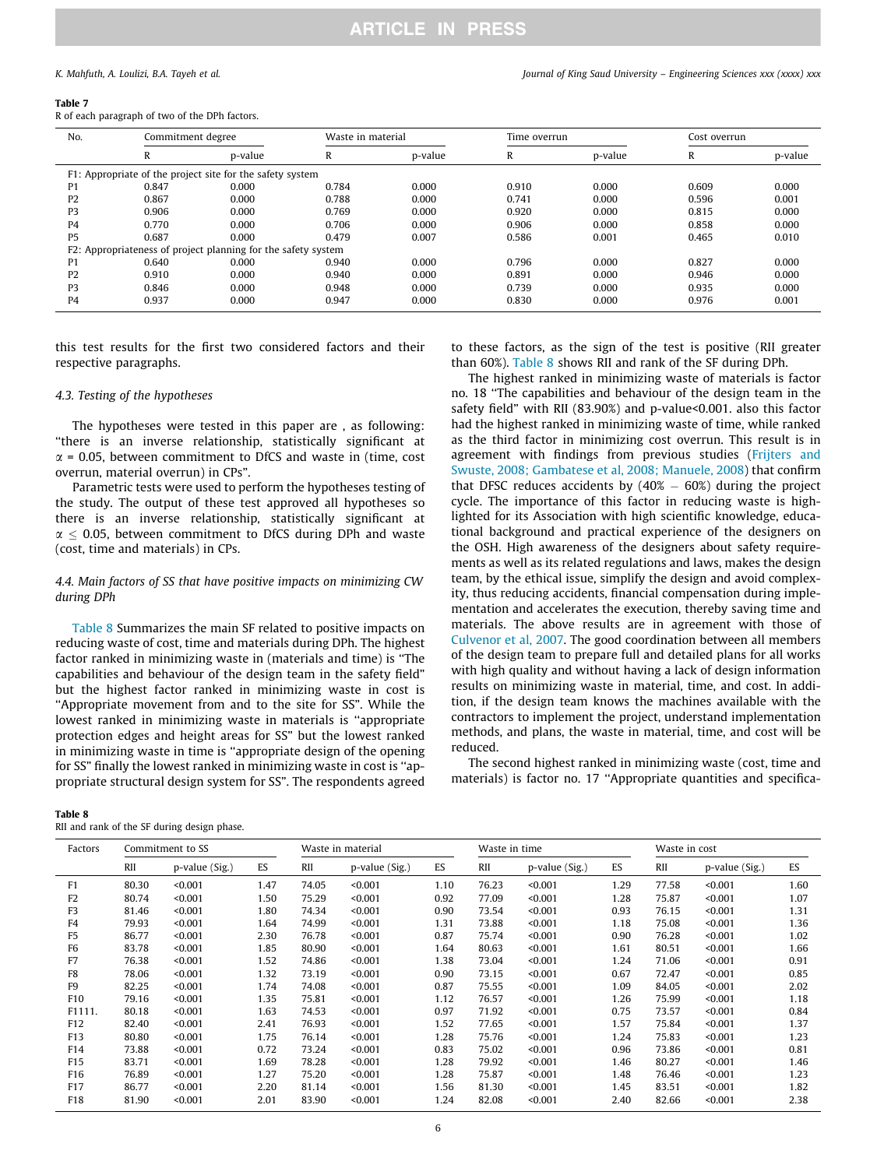<span id="page-5-0"></span>K. Mahfuth, A. Loulizi, B.A. Tayeh et al. Journal of King Saud University – Engineering Sciences xxx (xxxx) xxx

## Table 7

R of each paragraph of two of the DPh factors.

| No.            |       | Waste in material<br>Commitment degree                        |       |         | Time overrun |         | Cost overrun |         |
|----------------|-------|---------------------------------------------------------------|-------|---------|--------------|---------|--------------|---------|
|                | R     | p-value                                                       | R     | p-value | R            | p-value | R            | p-value |
|                |       | F1: Appropriate of the project site for the safety system     |       |         |              |         |              |         |
| P <sub>1</sub> | 0.847 | 0.000                                                         | 0.784 | 0.000   | 0.910        | 0.000   | 0.609        | 0.000   |
| P <sub>2</sub> | 0.867 | 0.000                                                         | 0.788 | 0.000   | 0.741        | 0.000   | 0.596        | 0.001   |
| P <sub>3</sub> | 0.906 | 0.000                                                         | 0.769 | 0.000   | 0.920        | 0.000   | 0.815        | 0.000   |
| <b>P4</b>      | 0.770 | 0.000                                                         | 0.706 | 0.000   | 0.906        | 0.000   | 0.858        | 0.000   |
| <b>P5</b>      | 0.687 | 0.000                                                         | 0.479 | 0.007   | 0.586        | 0.001   | 0.465        | 0.010   |
|                |       | F2: Appropriateness of project planning for the safety system |       |         |              |         |              |         |
| P <sub>1</sub> | 0.640 | 0.000                                                         | 0.940 | 0.000   | 0.796        | 0.000   | 0.827        | 0.000   |
| <b>P2</b>      | 0.910 | 0.000                                                         | 0.940 | 0.000   | 0.891        | 0.000   | 0.946        | 0.000   |
| P <sub>3</sub> | 0.846 | 0.000                                                         | 0.948 | 0.000   | 0.739        | 0.000   | 0.935        | 0.000   |
| P <sub>4</sub> | 0.937 | 0.000                                                         | 0.947 | 0.000   | 0.830        | 0.000   | 0.976        | 0.001   |

this test results for the first two considered factors and their respective paragraphs.

## 4.3. Testing of the hypotheses

The hypotheses were tested in this paper are , as following: ''there is an inverse relationship, statistically significant at  $\alpha$  = 0.05, between commitment to DfCS and waste in (time, cost overrun, material overrun) in CPs".

Parametric tests were used to perform the hypotheses testing of the study. The output of these test approved all hypotheses so there is an inverse relationship, statistically significant at  $\alpha$  < 0.05, between commitment to DfCS during DPh and waste (cost, time and materials) in CPs.

## 4.4. Main factors of SS that have positive impacts on minimizing CW during DPh

Table 8 Summarizes the main SF related to positive impacts on reducing waste of cost, time and materials during DPh. The highest factor ranked in minimizing waste in (materials and time) is ''The capabilities and behaviour of the design team in the safety field" but the highest factor ranked in minimizing waste in cost is ''Appropriate movement from and to the site for SS". While the lowest ranked in minimizing waste in materials is ''appropriate protection edges and height areas for SS" but the lowest ranked in minimizing waste in time is ''appropriate design of the opening for SS" finally the lowest ranked in minimizing waste in cost is ''appropriate structural design system for SS". The respondents agreed

### Table 8

Ink of the SF during design phase.

to these factors, as the sign of the test is positive (RII greater than 60%). Table 8 shows RII and rank of the SF during DPh.

The highest ranked in minimizing waste of materials is factor no. 18 ''The capabilities and behaviour of the design team in the safety field" with RII (83.90%) and p-value<0.001. also this factor had the highest ranked in minimizing waste of time, while ranked as the third factor in minimizing cost overrun. This result is in agreement with findings from previous studies ([Frijters and](#page-8-0) [Swuste, 2008; Gambatese et al, 2008; Manuele, 2008\)](#page-8-0) that confirm that DFSC reduces accidents by  $(40\% - 60\%)$  during the project cycle. The importance of this factor in reducing waste is highlighted for its Association with high scientific knowledge, educational background and practical experience of the designers on the OSH. High awareness of the designers about safety requirements as well as its related regulations and laws, makes the design team, by the ethical issue, simplify the design and avoid complexity, thus reducing accidents, financial compensation during implementation and accelerates the execution, thereby saving time and materials. The above results are in agreement with those of [Culvenor et al, 2007.](#page-8-0) The good coordination between all members of the design team to prepare full and detailed plans for all works with high quality and without having a lack of design information results on minimizing waste in material, time, and cost. In addition, if the design team knows the machines available with the contractors to implement the project, understand implementation methods, and plans, the waste in material, time, and cost will be reduced.

The second highest ranked in minimizing waste (cost, time and materials) is factor no. 17 ''Appropriate quantities and specifica-

| Factors         |            | Commitment to SS |      |       | Waste in material |      |       | Waste in time  |      |            | Waste in cost  |      |  |
|-----------------|------------|------------------|------|-------|-------------------|------|-------|----------------|------|------------|----------------|------|--|
|                 | <b>RII</b> | p-value (Sig.)   | ES   | RII   | p-value (Sig.)    | ES   | RII   | p-value (Sig.) | ES   | <b>RII</b> | p-value (Sig.) | ES   |  |
| F <sub>1</sub>  | 80.30      | < 0.001          | 1.47 | 74.05 | < 0.001           | 1.10 | 76.23 | < 0.001        | 1.29 | 77.58      | < 0.001        | 1.60 |  |
| F <sub>2</sub>  | 80.74      | < 0.001          | 1.50 | 75.29 | < 0.001           | 0.92 | 77.09 | < 0.001        | 1.28 | 75.87      | < 0.001        | 1.07 |  |
| F <sub>3</sub>  | 81.46      | < 0.001          | 1.80 | 74.34 | < 0.001           | 0.90 | 73.54 | < 0.001        | 0.93 | 76.15      | < 0.001        | 1.31 |  |
| F <sub>4</sub>  | 79.93      | < 0.001          | 1.64 | 74.99 | < 0.001           | 1.31 | 73.88 | < 0.001        | 1.18 | 75.08      | < 0.001        | 1.36 |  |
| F <sub>5</sub>  | 86.77      | < 0.001          | 2.30 | 76.78 | < 0.001           | 0.87 | 75.74 | < 0.001        | 0.90 | 76.28      | < 0.001        | 1.02 |  |
| F <sub>6</sub>  | 83.78      | < 0.001          | 1.85 | 80.90 | < 0.001           | 1.64 | 80.63 | < 0.001        | 1.61 | 80.51      | < 0.001        | 1.66 |  |
| F7              | 76.38      | < 0.001          | 1.52 | 74.86 | < 0.001           | 1.38 | 73.04 | < 0.001        | 1.24 | 71.06      | < 0.001        | 0.91 |  |
| F8              | 78.06      | < 0.001          | 1.32 | 73.19 | < 0.001           | 0.90 | 73.15 | < 0.001        | 0.67 | 72.47      | < 0.001        | 0.85 |  |
| F <sub>9</sub>  | 82.25      | < 0.001          | 1.74 | 74.08 | < 0.001           | 0.87 | 75.55 | < 0.001        | 1.09 | 84.05      | < 0.001        | 2.02 |  |
| F10             | 79.16      | < 0.001          | 1.35 | 75.81 | < 0.001           | 1.12 | 76.57 | < 0.001        | 1.26 | 75.99      | < 0.001        | 1.18 |  |
| F1111.          | 80.18      | < 0.001          | 1.63 | 74.53 | < 0.001           | 0.97 | 71.92 | < 0.001        | 0.75 | 73.57      | < 0.001        | 0.84 |  |
| F <sub>12</sub> | 82.40      | < 0.001          | 2.41 | 76.93 | < 0.001           | 1.52 | 77.65 | < 0.001        | 1.57 | 75.84      | < 0.001        | 1.37 |  |
| F13             | 80.80      | < 0.001          | 1.75 | 76.14 | < 0.001           | 1.28 | 75.76 | < 0.001        | 1.24 | 75.83      | < 0.001        | 1.23 |  |
| F14             | 73.88      | < 0.001          | 0.72 | 73.24 | < 0.001           | 0.83 | 75.02 | < 0.001        | 0.96 | 73.86      | < 0.001        | 0.81 |  |
| F <sub>15</sub> | 83.71      | < 0.001          | 1.69 | 78.28 | < 0.001           | 1.28 | 79.92 | < 0.001        | 1.46 | 80.27      | < 0.001        | 1.46 |  |
| F <sub>16</sub> | 76.89      | < 0.001          | 1.27 | 75.20 | < 0.001           | 1.28 | 75.87 | < 0.001        | 1.48 | 76.46      | < 0.001        | 1.23 |  |
| F17             | 86.77      | < 0.001          | 2.20 | 81.14 | < 0.001           | 1.56 | 81.30 | < 0.001        | 1.45 | 83.51      | < 0.001        | 1.82 |  |
| F18             | 81.90      | < 0.001          | 2.01 | 83.90 | < 0.001           | 1.24 | 82.08 | < 0.001        | 2.40 | 82.66      | < 0.001        | 2.38 |  |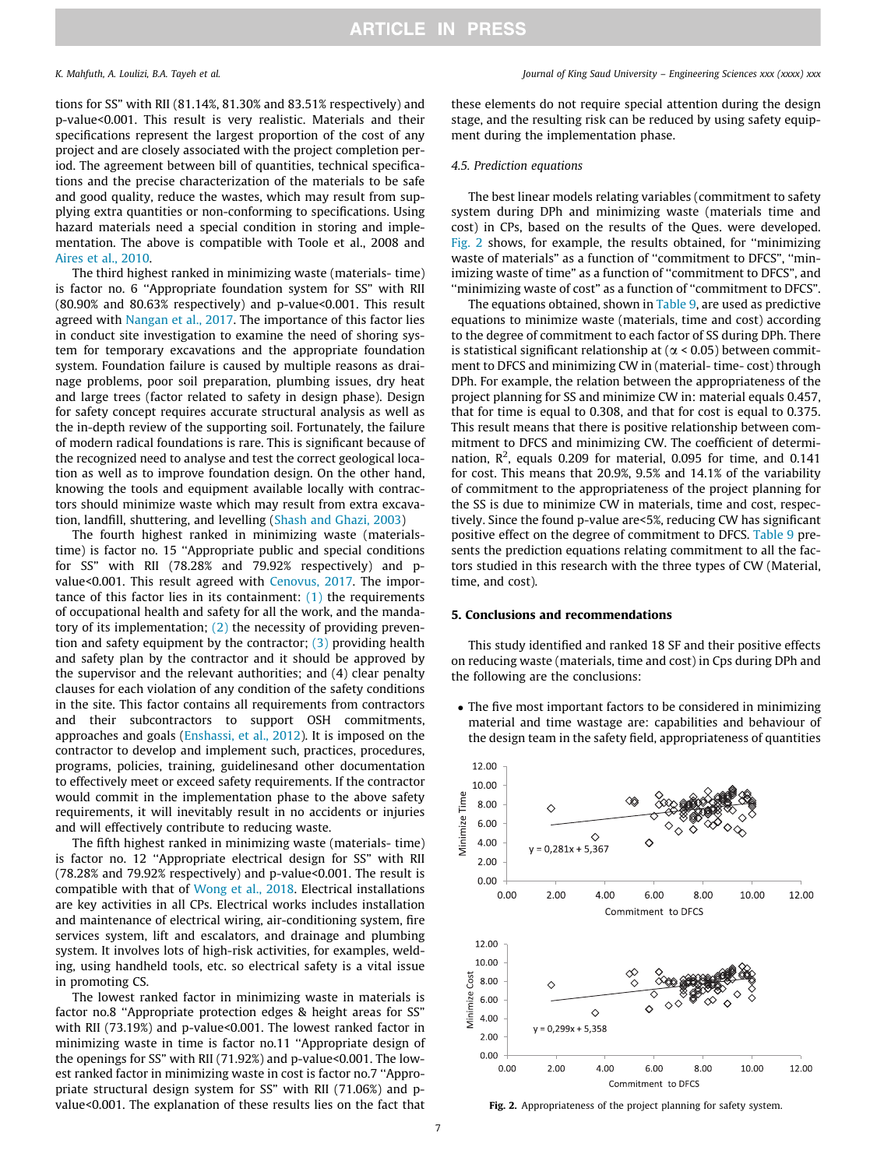tions for SS" with RII (81.14%, 81.30% and 83.51% respectively) and p-value<0.001. This result is very realistic. Materials and their specifications represent the largest proportion of the cost of any project and are closely associated with the project completion period. The agreement between bill of quantities, technical specifications and the precise characterization of the materials to be safe and good quality, reduce the wastes, which may result from supplying extra quantities or non-conforming to specifications. Using hazard materials need a special condition in storing and implementation. The above is compatible with Toole et al., 2008 and [Aires et al., 2010](#page-8-0).

The third highest ranked in minimizing waste (materials- time) is factor no. 6 ''Appropriate foundation system for SS" with RII (80.90% and 80.63% respectively) and p-value<0.001. This result agreed with [Nangan et al., 2017.](#page-9-0) The importance of this factor lies in conduct site investigation to examine the need of shoring system for temporary excavations and the appropriate foundation system. Foundation failure is caused by multiple reasons as drainage problems, poor soil preparation, plumbing issues, dry heat and large trees (factor related to safety in design phase). Design for safety concept requires accurate structural analysis as well as the in-depth review of the supporting soil. Fortunately, the failure of modern radical foundations is rare. This is significant because of the recognized need to analyse and test the correct geological location as well as to improve foundation design. On the other hand, knowing the tools and equipment available locally with contractors should minimize waste which may result from extra excavation, landfill, shuttering, and levelling [\(Shash and Ghazi, 2003\)](#page-9-0)

The fourth highest ranked in minimizing waste (materialstime) is factor no. 15 ''Appropriate public and special conditions for SS" with RII (78.28% and 79.92% respectively) and p-value<0.001. This result agreed with [Cenovus, 2017.](#page-9-0) The importance of this factor lies in its containment:  $(1)$  the requirements of occupational health and safety for all the work, and the mandatory of its implementation; [\(2\)](#page-3-0) the necessity of providing prevention and safety equipment by the contractor; [\(3\)](#page-3-0) providing health and safety plan by the contractor and it should be approved by the supervisor and the relevant authorities; and (4) clear penalty clauses for each violation of any condition of the safety conditions in the site. This factor contains all requirements from contractors and their subcontractors to support OSH commitments, approaches and goals [\(Enshassi, et al., 2012](#page-8-0)). It is imposed on the contractor to develop and implement such, practices, procedures, programs, policies, training, guidelinesand other documentation to effectively meet or exceed safety requirements. If the contractor would commit in the implementation phase to the above safety requirements, it will inevitably result in no accidents or injuries and will effectively contribute to reducing waste.

The fifth highest ranked in minimizing waste (materials- time) is factor no. 12 ''Appropriate electrical design for SS" with RII (78.28% and 79.92% respectively) and p-value<0.001. The result is compatible with that of [Wong et al., 2018.](#page-9-0) Electrical installations are key activities in all CPs. Electrical works includes installation and maintenance of electrical wiring, air-conditioning system, fire services system, lift and escalators, and drainage and plumbing system. It involves lots of high-risk activities, for examples, welding, using handheld tools, etc. so electrical safety is a vital issue in promoting CS.

The lowest ranked factor in minimizing waste in materials is factor no.8 ''Appropriate protection edges & height areas for SS" with RII (73.19%) and p-value<0.001. The lowest ranked factor in minimizing waste in time is factor no.11 ''Appropriate design of the openings for SS" with RII (71.92%) and p-value<0.001. The lowest ranked factor in minimizing waste in cost is factor no.7 ''Appropriate structural design system for SS" with RII (71.06%) and pvalue<0.001. The explanation of these results lies on the fact that

these elements do not require special attention during the design stage, and the resulting risk can be reduced by using safety equipment during the implementation phase.

## 4.5. Prediction equations

The best linear models relating variables (commitment to safety system during DPh and minimizing waste (materials time and cost) in CPs, based on the results of the Ques. were developed. Fig. 2 shows, for example, the results obtained, for ''minimizing waste of materials" as a function of ''commitment to DFCS", ''minimizing waste of time" as a function of ''commitment to DFCS", and ''minimizing waste of cost" as a function of ''commitment to DFCS".

The equations obtained, shown in [Table 9,](#page-7-0) are used as predictive equations to minimize waste (materials, time and cost) according to the degree of commitment to each factor of SS during DPh. There is statistical significant relationship at ( $\alpha$  < 0.05) between commitment to DFCS and minimizing CW in (material- time- cost) through DPh. For example, the relation between the appropriateness of the project planning for SS and minimize CW in: material equals 0.457, that for time is equal to 0.308, and that for cost is equal to 0.375. This result means that there is positive relationship between commitment to DFCS and minimizing CW. The coefficient of determination,  $R^2$ , equals 0.209 for material, 0.095 for time, and 0.141 for cost. This means that 20.9%, 9.5% and 14.1% of the variability of commitment to the appropriateness of the project planning for the SS is due to minimize CW in materials, time and cost, respectively. Since the found p-value are<5%, reducing CW has significant positive effect on the degree of commitment to DFCS. [Table 9](#page-7-0) presents the prediction equations relating commitment to all the factors studied in this research with the three types of CW (Material, time, and cost).

## 5. Conclusions and recommendations

This study identified and ranked 18 SF and their positive effects on reducing waste (materials, time and cost) in Cps during DPh and the following are the conclusions:

 The five most important factors to be considered in minimizing material and time wastage are: capabilities and behaviour of the design team in the safety field, appropriateness of quantities



Fig. 2. Appropriateness of the project planning for safety system.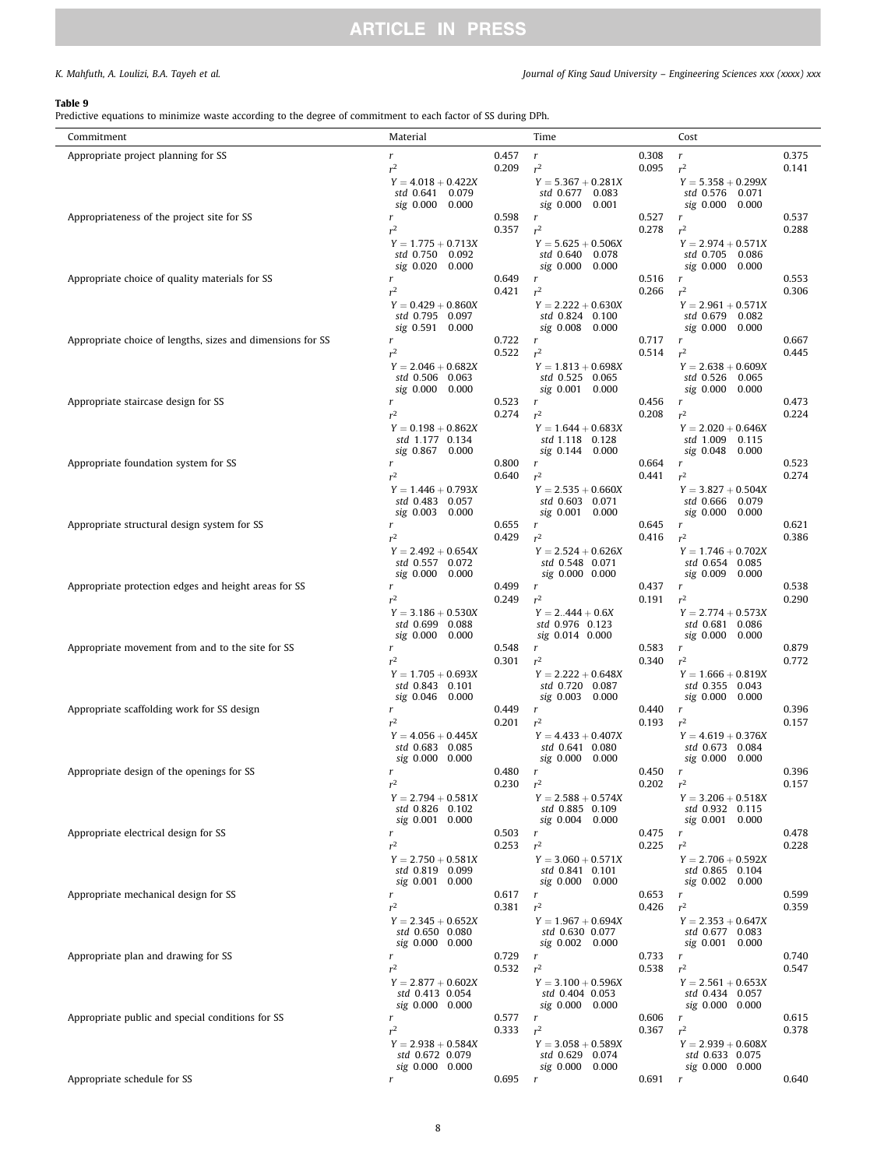<span id="page-7-0"></span>K. Mahfuth, A. Loulizi, B.A. Tayeh et al. Journal of King Saud University – Engineering Sciences xxx (xxxx) xxx

## Table 9

Predictive equations to minimize waste according to the degree of commitment to each factor of SS during DPh.

| Commitment                                                 | Material                                |                | Time                                    |                | Cost                                    |                |
|------------------------------------------------------------|-----------------------------------------|----------------|-----------------------------------------|----------------|-----------------------------------------|----------------|
| Appropriate project planning for SS                        | r                                       | 0.457          | $\boldsymbol{r}$                        | 0.308          | $\boldsymbol{r}$                        | 0.375          |
|                                                            | r <sup>2</sup>                          | 0.209          | r <sup>2</sup>                          | 0.095          | r <sup>2</sup>                          | 0.141          |
|                                                            | $Y = 4.018 + 0.422X$<br>std 0.641 0.079 |                | $Y = 5.367 + 0.281X$<br>std 0.677 0.083 |                | $Y = 5.358 + 0.299X$<br>std 0.576 0.071 |                |
|                                                            | sig 0.000 0.000                         |                | sig 0.000 0.001                         |                | sig 0.000 0.000                         |                |
| Appropriateness of the project site for SS                 | r                                       | 0.598          | r                                       | 0.527          | r                                       | 0.537          |
|                                                            | $r^2$                                   | 0.357          | $r^2$                                   | 0.278          | r <sup>2</sup>                          | 0.288          |
|                                                            | $Y = 1.775 + 0.713X$<br>std 0.750 0.092 |                | $Y = 5.625 + 0.506X$<br>std 0.640 0.078 |                | $Y = 2.974 + 0.571X$<br>std 0.705 0.086 |                |
|                                                            | sig 0.020 0.000                         |                | sig 0.000 0.000                         |                | sig 0.000 0.000                         |                |
| Appropriate choice of quality materials for SS             | r                                       | 0.649          | $\boldsymbol{r}$                        | 0.516          | $\boldsymbol{r}$                        | 0.553          |
|                                                            | $r^2$                                   | 0.421          | $r^2$                                   | 0.266          | $r^2$                                   | 0.306          |
|                                                            | $Y = 0.429 + 0.860X$<br>std 0.795 0.097 |                | $Y = 2.222 + 0.630X$<br>std 0.824 0.100 |                | $Y = 2.961 + 0.571X$<br>std 0.679 0.082 |                |
|                                                            | sig 0.591 0.000                         |                | sig 0.008 0.000                         |                | sig 0.000 0.000                         |                |
| Appropriate choice of lengths, sizes and dimensions for SS | $\boldsymbol{r}$                        | 0.722          | $\boldsymbol{r}$                        | 0.717          | $\boldsymbol{r}$                        | 0.667          |
|                                                            | r <sup>2</sup>                          | 0.522          | $r^2$                                   | 0.514          | r <sup>2</sup>                          | 0.445          |
|                                                            | $Y = 2.046 + 0.682X$                    |                | $Y = 1.813 + 0.698X$                    |                | $Y = 2.638 + 0.609X$                    |                |
|                                                            | std 0.506 0.063<br>sig 0.000 0.000      |                | std 0.525 0.065<br>sig 0.001 0.000      |                | std 0.526 0.065<br>sig 0.000 0.000      |                |
| Appropriate staircase design for SS                        | $\boldsymbol{r}$                        | 0.523          | $\boldsymbol{r}$                        | 0.456          | $\boldsymbol{r}$                        | 0.473          |
|                                                            | r <sup>2</sup>                          | 0.274          | r <sup>2</sup>                          | 0.208          | r <sup>2</sup>                          | 0.224          |
|                                                            | $Y = 0.198 + 0.862X$                    |                | $Y = 1.644 + 0.683X$                    |                | $Y = 2.020 + 0.646X$                    |                |
|                                                            | std 1.177 0.134<br>sig 0.867 0.000      |                | std 1.118 0.128<br>sig 0.144 0.000      |                | std 1.009 0.115<br>sig 0.048 0.000      |                |
| Appropriate foundation system for SS                       | $\mathbf{r}$                            | 0.800          | $\boldsymbol{r}$                        | 0.664          | r                                       | 0.523          |
|                                                            | r <sup>2</sup>                          | 0.640          | r <sup>2</sup>                          | 0.441          | r <sup>2</sup>                          | 0.274          |
|                                                            | $Y = 1.446 + 0.793X$                    |                | $Y = 2.535 + 0.660X$                    |                | $Y = 3.827 + 0.504X$                    |                |
|                                                            | std 0.483 0.057                         |                | std 0.603 0.071                         |                | std 0.666 0.079                         |                |
| Appropriate structural design system for SS                | sig 0.003 0.000<br>r                    | 0.655          | sig 0.001 0.000<br>$\mathbf{r}$         | 0.645          | sig 0.000 0.000<br>$\mathbf r$          | 0.621          |
|                                                            | r <sup>2</sup>                          | 0.429          | r <sup>2</sup>                          | 0.416          | $r^2\,$                                 | 0.386          |
|                                                            | $Y = 2.492 + 0.654X$                    |                | $Y = 2.524 + 0.626X$                    |                | $Y = 1.746 + 0.702X$                    |                |
|                                                            | std 0.557 0.072                         |                | std 0.548 0.071                         |                | std 0.654 0.085                         |                |
| Appropriate protection edges and height areas for SS       | sig 0.000 0.000                         |                | sig 0.000 0.000                         |                | sig 0.009 0.000                         |                |
|                                                            | r<br>$r^2$                              | 0.499<br>0.249 | $\boldsymbol{r}$<br>$r^2$               | 0.437<br>0.191 | r<br>$r^2$                              | 0.538<br>0.290 |
|                                                            | $Y = 3.186 + 0.530X$                    |                | $Y = 2.444 + 0.6X$                      |                | $Y = 2.774 + 0.573X$                    |                |
|                                                            | std 0.699 0.088                         |                | std 0.976 0.123                         |                | std 0.681 0.086                         |                |
|                                                            | sig 0.000 0.000                         |                | $sig$ 0.014 0.000                       |                | sig 0.000 0.000                         | 0.879          |
| Appropriate movement from and to the site for SS           | r<br>r <sup>2</sup>                     | 0.548<br>0.301 | r<br>r <sup>2</sup>                     | 0.583<br>0.340 | r<br>r <sup>2</sup>                     | 0.772          |
|                                                            | $Y = 1.705 + 0.693X$                    |                | $Y = 2.222 + 0.648X$                    |                | $Y = 1.666 + 0.819X$                    |                |
|                                                            | std 0.843 0.101                         |                | std 0.720 0.087                         |                | std 0.355 0.043                         |                |
|                                                            | sig 0.046 0.000                         |                | sig 0.003 0.000                         |                | sig 0.000 0.000                         |                |
| Appropriate scaffolding work for SS design                 | r<br>r <sup>2</sup>                     | 0.449<br>0.201 | r<br>r <sup>2</sup>                     | 0.440<br>0.193 | r<br>r <sup>2</sup>                     | 0.396<br>0.157 |
|                                                            | $Y = 4.056 + 0.445X$                    |                | $Y = 4.433 + 0.407X$                    |                | $Y = 4.619 + 0.376X$                    |                |
|                                                            | std 0.683 0.085                         |                | std 0.641 0.080                         |                | std 0.673 0.084                         |                |
|                                                            | sig 0.000 0.000                         |                | sig 0.000 0.000                         |                | sig 0.000 0.000                         |                |
| Appropriate design of the openings for SS                  | r                                       | 0.480<br>0.230 | $\mathbf r$                             | 0.450<br>0.202 | $\mathbf{r}$                            | 0.396<br>0.157 |
|                                                            | $Y = 2.794 + 0.581X$                    |                | $Y = 2.588 + 0.574X$                    |                | $Y = 3.206 + 0.518X$                    |                |
|                                                            | std 0.826 0.102                         |                | std 0.885 0.109                         |                | std 0.932 0.115                         |                |
|                                                            | sig 0.001 0.000                         |                | sig 0.004 0.000                         |                | sig 0.001 0.000                         |                |
| Appropriate electrical design for SS                       | r                                       | 0.503<br>0.253 | $\, r$<br>r <sup>2</sup>                | 0.475<br>0.225 | $\boldsymbol{r}$<br>r <sup>2</sup>      | 0.478<br>0.228 |
|                                                            | $r^2$<br>$Y = 2.750 + 0.581X$           |                | $Y = 3.060 + 0.571X$                    |                | $Y = 2.706 + 0.592X$                    |                |
|                                                            | std 0.819 0.099                         |                | std 0.841 0.101                         |                | std 0.865 0.104                         |                |
|                                                            | sig 0.001 0.000                         |                | sig 0.000 0.000                         |                | sig 0.002 0.000                         |                |
| Appropriate mechanical design for SS                       | r                                       | 0.617          | $\, r$                                  | 0.653          | r                                       | 0.599          |
|                                                            | r <sup>2</sup><br>$Y = 2.345 + 0.652X$  | 0.381          | r <sup>2</sup><br>$Y = 1.967 + 0.694X$  | 0.426          | r <sup>2</sup><br>$Y = 2.353 + 0.647X$  | 0.359          |
|                                                            | std 0.650 0.080                         |                | std 0.630 0.077                         |                | std 0.677 0.083                         |                |
|                                                            | sig 0.000 0.000                         |                | sig 0.002 0.000                         |                | sig 0.001 0.000                         |                |
| Appropriate plan and drawing for SS                        | r                                       | 0.729          | $\boldsymbol{r}$                        | 0.733          | $\boldsymbol{r}$                        | 0.740          |
|                                                            | r <sup>2</sup>                          | 0.532          | r <sup>2</sup>                          | 0.538          | r <sup>2</sup>                          | 0.547          |
|                                                            | $Y = 2.877 + 0.602X$<br>std 0.413 0.054 |                | $Y = 3.100 + 0.596X$<br>std 0.404 0.053 |                | $Y = 2.561 + 0.653X$<br>std 0.434 0.057 |                |
|                                                            | sig 0.000 0.000                         |                | sig 0.000 0.000                         |                | sig 0.000 0.000                         |                |
| Appropriate public and special conditions for SS           | r                                       | 0.577          | $\, r$                                  | 0.606          | $\mathbf{r}$                            | 0.615          |
|                                                            | $r^2$                                   | 0.333          | r <sup>2</sup>                          | 0.367          | r <sup>2</sup>                          | 0.378          |
|                                                            | $Y = 2.938 + 0.584X$<br>std 0.672 0.079 |                | $Y = 3.058 + 0.589X$<br>std 0.629 0.074 |                | $Y = 2.939 + 0.608X$<br>std 0.633 0.075 |                |
|                                                            | sig 0.000 0.000                         |                | sig 0.000 0.000                         |                | sig 0.000 0.000                         |                |
| Appropriate schedule for SS                                | $\, r$                                  | 0.695          | $\mathbf{r}$                            | 0.691 r        |                                         | 0.640          |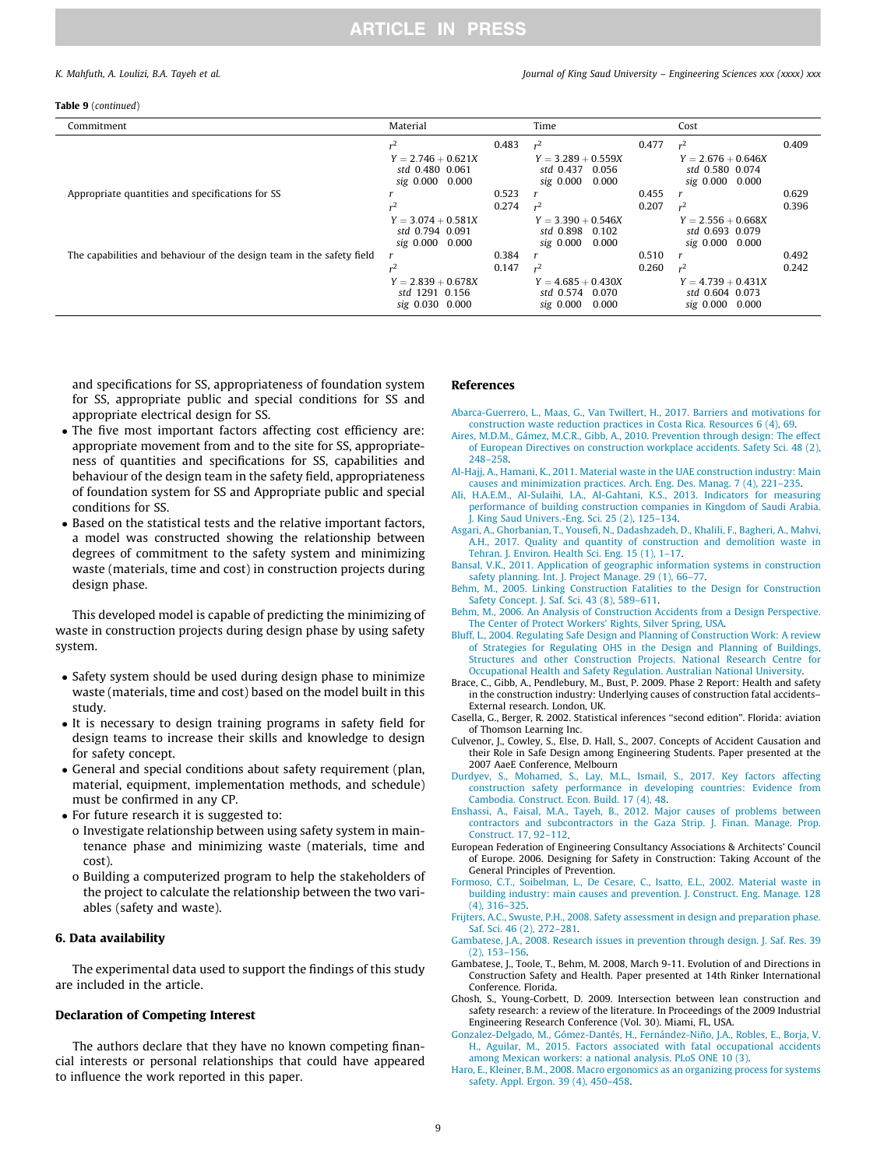<span id="page-8-0"></span>K. Mahfuth, A. Loulizi, B.A. Tayeh et al. Journal of King Saud University – Engineering Sciences xxx (xxxx) xxx

Table 9 (continued)

| Commitment                                                            | Material                                                   |       | Time                                                               |       | Cost                                                          |       |
|-----------------------------------------------------------------------|------------------------------------------------------------|-------|--------------------------------------------------------------------|-------|---------------------------------------------------------------|-------|
|                                                                       | $r^2$                                                      | 0.483 | $r^2$                                                              | 0.477 | $r^2$                                                         | 0.409 |
|                                                                       | $Y = 2.746 + 0.621X$<br>std 0.480 0.061<br>sig 0.000 0.000 |       | $Y = 3.289 + 0.559X$<br>std 0.437<br>0.056<br>$sig$ 0.000<br>0.000 |       | $Y = 2.676 + 0.646X$<br>std 0.580 0.074<br>sig 0.000 0.000    |       |
| Appropriate quantities and specifications for SS                      |                                                            | 0.523 |                                                                    | 0.455 |                                                               | 0.629 |
|                                                                       | r <sup>2</sup>                                             | 0.274 | $r^2$                                                              | 0.207 | $r^2$                                                         | 0.396 |
|                                                                       | $Y = 3.074 + 0.581X$<br>std 0.794 0.091<br>sig 0.000 0.000 |       | $Y = 3.390 + 0.546X$<br>std 0.898 0.102<br>$sig$ 0.000<br>0.000    |       | $Y = 2.556 + 0.668X$<br>std 0.693 0.079<br>sig 0.000 0.000    |       |
| The capabilities and behaviour of the design team in the safety field |                                                            | 0.384 |                                                                    | 0.510 |                                                               | 0.492 |
|                                                                       | r <sup>2</sup>                                             | 0.147 | r <sup>2</sup>                                                     | 0.260 | $r^2$                                                         | 0.242 |
|                                                                       | $Y = 2.839 + 0.678X$<br>std 1291 0.156<br>sig 0.030 0.000  |       | $Y = 4.685 + 0.430X$<br>std 0.574 0.070<br>$sig$ 0.000<br>0.000    |       | $Y = 4.739 + 0.431X$<br>std 0.604 0.073<br>sig 0.000<br>0.000 |       |

and specifications for SS, appropriateness of foundation system for SS, appropriate public and special conditions for SS and appropriate electrical design for SS.

- The five most important factors affecting cost efficiency are: appropriate movement from and to the site for SS, appropriateness of quantities and specifications for SS, capabilities and behaviour of the design team in the safety field, appropriateness of foundation system for SS and Appropriate public and special conditions for SS.
- Based on the statistical tests and the relative important factors, a model was constructed showing the relationship between degrees of commitment to the safety system and minimizing waste (materials, time and cost) in construction projects during design phase.

This developed model is capable of predicting the minimizing of waste in construction projects during design phase by using safety system.

- Safety system should be used during design phase to minimize waste (materials, time and cost) based on the model built in this study.
- It is necessary to design training programs in safety field for design teams to increase their skills and knowledge to design for safety concept.
- General and special conditions about safety requirement (plan, material, equipment, implementation methods, and schedule) must be confirmed in any CP.
- For future research it is suggested to:
- o Investigate relationship between using safety system in maintenance phase and minimizing waste (materials, time and cost).
- o Building a computerized program to help the stakeholders of the project to calculate the relationship between the two variables (safety and waste).

## 6. Data availability

The experimental data used to support the findings of this study are included in the article.

## Declaration of Competing Interest

The authors declare that they have no known competing financial interests or personal relationships that could have appeared to influence the work reported in this paper.

## References

- [Abarca-Guerrero, L., Maas, G., Van Twillert, H., 2017. Barriers and motivations for](http://refhub.elsevier.com/S1018-3639(20)30299-3/h0005) [construction waste reduction practices in Costa Rica. Resources 6 \(4\), 69.](http://refhub.elsevier.com/S1018-3639(20)30299-3/h0005)
- [Aires, M.D.M., Gámez, M.C.R., Gibb, A., 2010. Prevention through design: The effect](http://refhub.elsevier.com/S1018-3639(20)30299-3/h0010) [of European Directives on construction workplace accidents. Safety Sci. 48 \(2\),](http://refhub.elsevier.com/S1018-3639(20)30299-3/h0010) [248–258](http://refhub.elsevier.com/S1018-3639(20)30299-3/h0010).
- [Al-Hajj, A., Hamani, K., 2011. Material waste in the UAE construction industry: Main](http://refhub.elsevier.com/S1018-3639(20)30299-3/h0015) [causes and minimization practices. Arch. Eng. Des. Manag. 7 \(4\), 221–235.](http://refhub.elsevier.com/S1018-3639(20)30299-3/h0015)
- [Ali, H.A.E.M., Al-Sulaihi, I.A., Al-Gahtani, K.S., 2013. Indicators for measuring](http://refhub.elsevier.com/S1018-3639(20)30299-3/h0020) [performance of building construction companies in Kingdom of Saudi Arabia.](http://refhub.elsevier.com/S1018-3639(20)30299-3/h0020) [J. King Saud Univers.-Eng. Sci. 25 \(2\), 125–134](http://refhub.elsevier.com/S1018-3639(20)30299-3/h0020).
- [Asgari, A., Ghorbanian, T., Yousefi, N., Dadashzadeh, D., Khalili, F., Bagheri, A., Mahvi,](http://refhub.elsevier.com/S1018-3639(20)30299-3/h0025) [A.H., 2017. Quality and quantity of construction and demolition waste in](http://refhub.elsevier.com/S1018-3639(20)30299-3/h0025) [Tehran. J. Environ. Health Sci. Eng. 15 \(1\), 1–17.](http://refhub.elsevier.com/S1018-3639(20)30299-3/h0025)
- [Bansal, V.K., 2011. Application of geographic information systems in construction](http://refhub.elsevier.com/S1018-3639(20)30299-3/h0030) [safety planning. Int. J. Project Manage. 29 \(1\), 66–77.](http://refhub.elsevier.com/S1018-3639(20)30299-3/h0030)
- [Behm, M., 2005. Linking Construction Fatalities to the Design for Construction](http://refhub.elsevier.com/S1018-3639(20)30299-3/h0035) [Safety Concept. J. Saf. Sci. 43 \(8\), 589–611.](http://refhub.elsevier.com/S1018-3639(20)30299-3/h0035)
- [Behm, M., 2006. An Analysis of Construction Accidents from a Design Perspective.](http://refhub.elsevier.com/S1018-3639(20)30299-3/h0040) [The Center of Protect Workers' Rights, Silver Spring, USA.](http://refhub.elsevier.com/S1018-3639(20)30299-3/h0040)
- [Bluff, L., 2004. Regulating Safe Design and Planning of Construction Work: A review](http://refhub.elsevier.com/S1018-3639(20)30299-3/h0045) [of Strategies for Regulating OHS in the Design and Planning of Buildings,](http://refhub.elsevier.com/S1018-3639(20)30299-3/h0045) [Structures and other Construction Projects. National Research Centre for](http://refhub.elsevier.com/S1018-3639(20)30299-3/h0045) [Occupational Health and Safety Regulation. Australian National University.](http://refhub.elsevier.com/S1018-3639(20)30299-3/h0045)
- Brace, C., Gibb, A., Pendlebury, M., Bust, P. 2009. Phase 2 Report: Health and safety in the construction industry: Underlying causes of construction fatal accidents– External research. London, UK.
- Casella, G., Berger, R. 2002. Statistical inferences ''second edition". Florida: aviation of Thomson Learning Inc.
- Culvenor, J., Cowley, S., Else, D. Hall, S., 2007. Concepts of Accident Causation and their Role in Safe Design among Engineering Students. Paper presented at the 2007 AaeE Conference, Melbourn
- [Durdyev, S., Mohamed, S., Lay, M.L., Ismail, S., 2017. Key factors affecting](http://refhub.elsevier.com/S1018-3639(20)30299-3/h0070) [construction safety performance in developing countries: Evidence from](http://refhub.elsevier.com/S1018-3639(20)30299-3/h0070) [Cambodia. Construct. Econ. Build. 17 \(4\), 48.](http://refhub.elsevier.com/S1018-3639(20)30299-3/h0070)
- [Enshassi, A., Faisal, M.A., Tayeh, B., 2012. Major causes of problems between](http://refhub.elsevier.com/S1018-3639(20)30299-3/h0075) [contractors and subcontractors in the Gaza Strip. J. Finan. Manage. Prop.](http://refhub.elsevier.com/S1018-3639(20)30299-3/h0075) [Construct. 17, 92–112.](http://refhub.elsevier.com/S1018-3639(20)30299-3/h0075)
- European Federation of Engineering Consultancy Associations & Architects' Council of Europe. 2006. Designing for Safety in Construction: Taking Account of the General Principles of Prevention.
- [Formoso, C.T., Soibelman, L., De Cesare, C., Isatto, E.L., 2002. Material waste in](http://refhub.elsevier.com/S1018-3639(20)30299-3/h0085) [building industry: main causes and prevention. J. Construct. Eng. Manage. 128](http://refhub.elsevier.com/S1018-3639(20)30299-3/h0085) [\(4\), 316–325.](http://refhub.elsevier.com/S1018-3639(20)30299-3/h0085)
- [Frijters, A.C., Swuste, P.H., 2008. Safety assessment in design and preparation phase.](http://refhub.elsevier.com/S1018-3639(20)30299-3/h0090) [Saf. Sci. 46 \(2\), 272–281](http://refhub.elsevier.com/S1018-3639(20)30299-3/h0090).
- [Gambatese, J.A., 2008. Research issues in prevention through design. J. Saf. Res. 39](http://refhub.elsevier.com/S1018-3639(20)30299-3/h0095) [\(2\), 153–156.](http://refhub.elsevier.com/S1018-3639(20)30299-3/h0095)
- Gambatese, J., Toole, T., Behm, M. 2008, March 9-11. Evolution of and Directions in Construction Safety and Health. Paper presented at 14th Rinker International Conference. Florida.
- Ghosh, S., Young-Corbett, D. 2009. Intersection between lean construction and safety research: a review of the literature. In Proceedings of the 2009 Industrial Engineering Research Conference (Vol. 30). Miami, FL, USA.
- [Gonzalez-Delgado, M., Gómez-Dantés, H., Fernández-Niño, J.A., Robles, E., Borja, V.](http://refhub.elsevier.com/S1018-3639(20)30299-3/h0110) [H., Aguilar, M., 2015. Factors associated with fatal occupational accidents](http://refhub.elsevier.com/S1018-3639(20)30299-3/h0110) [among Mexican workers: a national analysis. PLoS ONE 10 \(3\)](http://refhub.elsevier.com/S1018-3639(20)30299-3/h0110).
- [Haro, E., Kleiner, B.M., 2008. Macro ergonomics as an organizing process for systems](http://refhub.elsevier.com/S1018-3639(20)30299-3/h0115) [safety. Appl. Ergon. 39 \(4\), 450–458.](http://refhub.elsevier.com/S1018-3639(20)30299-3/h0115)